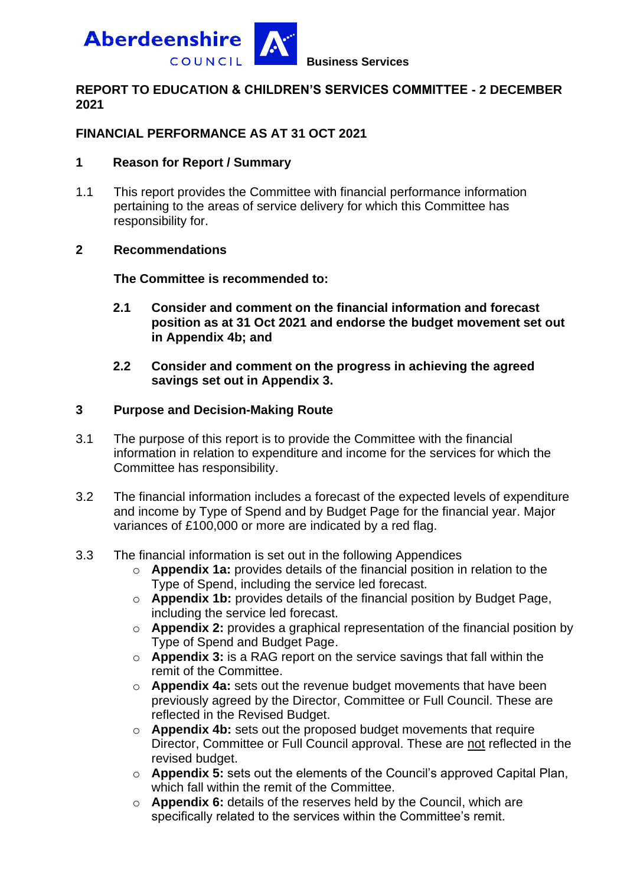

## **REPORT TO EDUCATION & CHILDREN'S SERVICES COMMITTEE - 2 DECEMBER 2021**

# **FINANCIAL PERFORMANCE AS AT 31 OCT 2021**

#### **1 Reason for Report / Summary**

1.1 This report provides the Committee with financial performance information pertaining to the areas of service delivery for which this Committee has responsibility for.

#### **2 Recommendations**

**The Committee is recommended to:**

- **2.1 Consider and comment on the financial information and forecast position as at 31 Oct 2021 and endorse the budget movement set out in Appendix 4b; and**
- **2.2 Consider and comment on the progress in achieving the agreed savings set out in Appendix 3.**

#### **3 Purpose and Decision-Making Route**

- 3.1 The purpose of this report is to provide the Committee with the financial information in relation to expenditure and income for the services for which the Committee has responsibility.
- 3.2 The financial information includes a forecast of the expected levels of expenditure and income by Type of Spend and by Budget Page for the financial year. Major variances of £100,000 or more are indicated by a red flag.
- 3.3 The financial information is set out in the following Appendices
	- o **Appendix 1a:** provides details of the financial position in relation to the Type of Spend, including the service led forecast.
	- o **Appendix 1b:** provides details of the financial position by Budget Page, including the service led forecast.
	- o **Appendix 2:** provides a graphical representation of the financial position by Type of Spend and Budget Page.
	- o **Appendix 3:** is a RAG report on the service savings that fall within the remit of the Committee.
	- o **Appendix 4a:** sets out the revenue budget movements that have been previously agreed by the Director, Committee or Full Council. These are reflected in the Revised Budget.
	- o **Appendix 4b:** sets out the proposed budget movements that require Director, Committee or Full Council approval. These are not reflected in the revised budget.
	- o **Appendix 5:** sets out the elements of the Council's approved Capital Plan, which fall within the remit of the Committee.
	- o **Appendix 6:** details of the reserves held by the Council, which are specifically related to the services within the Committee's remit.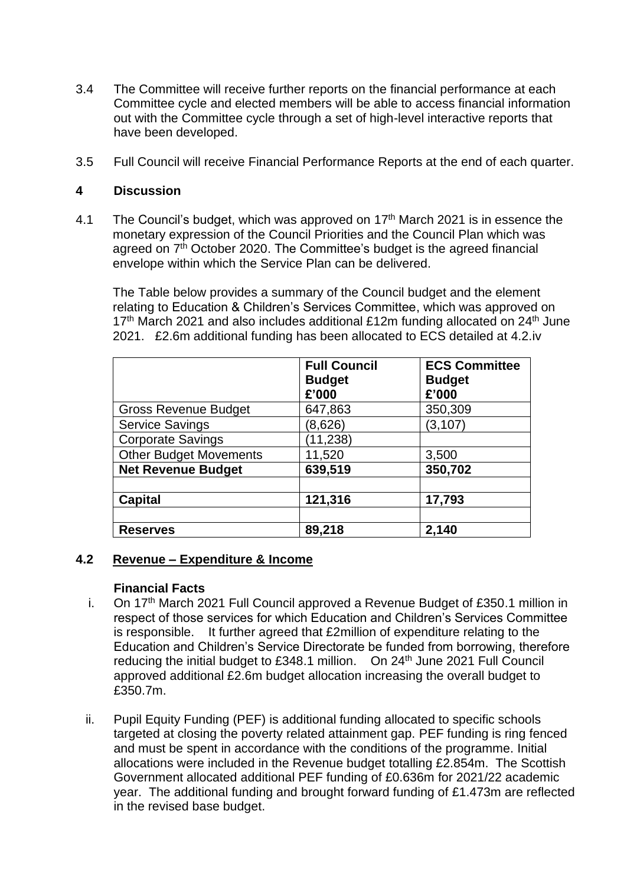- 3.4 The Committee will receive further reports on the financial performance at each Committee cycle and elected members will be able to access financial information out with the Committee cycle through a set of high-level interactive reports that have been developed.
- 3.5 Full Council will receive Financial Performance Reports at the end of each quarter.

# **4 Discussion**

4.1 The Council's budget, which was approved on  $17<sup>th</sup>$  March 2021 is in essence the monetary expression of the Council Priorities and the Council Plan which was agreed on  $7<sup>th</sup>$  October 2020. The Committee's budget is the agreed financial envelope within which the Service Plan can be delivered.

The Table below provides a summary of the Council budget and the element relating to Education & Children's Services Committee, which was approved on  $17<sup>th</sup>$  March 2021 and also includes additional £12m funding allocated on 24<sup>th</sup> June 2021. £2.6m additional funding has been allocated to ECS detailed at 4.2.iv

|                               | <b>Full Council</b><br><b>Budget</b><br>£'000 | <b>ECS Committee</b><br><b>Budget</b><br>£'000 |
|-------------------------------|-----------------------------------------------|------------------------------------------------|
| <b>Gross Revenue Budget</b>   | 647,863                                       | 350,309                                        |
| <b>Service Savings</b>        | (8,626)                                       | (3, 107)                                       |
| <b>Corporate Savings</b>      | (11, 238)                                     |                                                |
| <b>Other Budget Movements</b> | 11,520                                        | 3,500                                          |
| <b>Net Revenue Budget</b>     | 639,519                                       | 350,702                                        |
|                               |                                               |                                                |
| <b>Capital</b>                | 121,316                                       | 17,793                                         |
|                               |                                               |                                                |
| <b>Reserves</b>               | 89,218                                        | 2,140                                          |

# **4.2 Revenue – Expenditure & Income**

#### **Financial Facts**

- i. On 17<sup>th</sup> March 2021 Full Council approved a Revenue Budget of £350.1 million in respect of those services for which Education and Children's Services Committee is responsible. It further agreed that £2million of expenditure relating to the Education and Children's Service Directorate be funded from borrowing, therefore reducing the initial budget to £348.1 million. On 24<sup>th</sup> June 2021 Full Council approved additional £2.6m budget allocation increasing the overall budget to £350.7m.
- ii. Pupil Equity Funding (PEF) is additional funding allocated to specific schools targeted at closing the poverty related attainment gap. PEF funding is ring fenced and must be spent in accordance with the conditions of the programme. Initial allocations were included in the Revenue budget totalling £2.854m. The Scottish Government allocated additional PEF funding of £0.636m for 2021/22 academic year. The additional funding and brought forward funding of £1.473m are reflected in the revised base budget.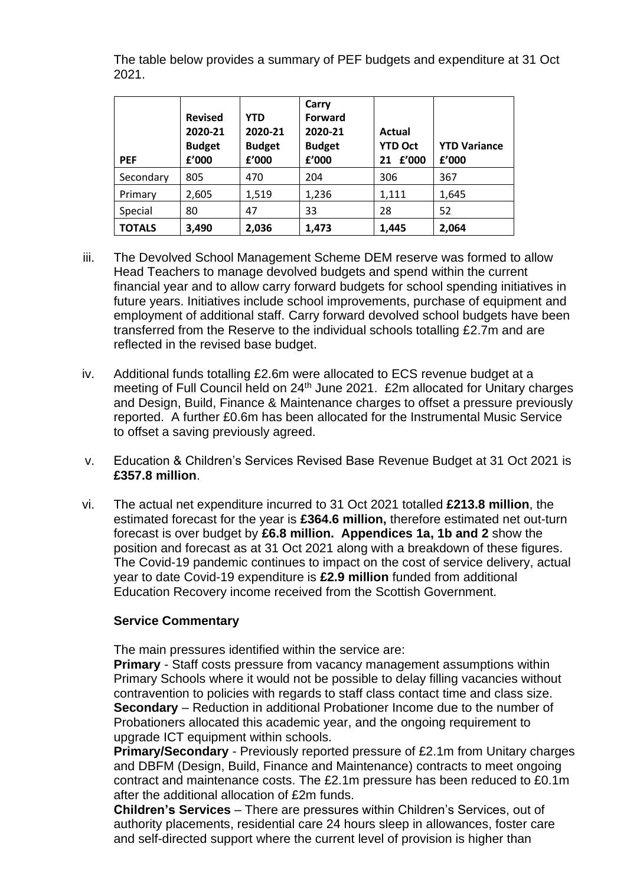The table below provides a summary of PEF budgets and expenditure at 31 Oct 2021.

| <b>PEF</b>    | <b>Revised</b><br>2020-21<br><b>Budget</b><br>£'000 | <b>YTD</b><br>2020-21<br><b>Budget</b><br>f'000 | Carry<br><b>Forward</b><br>2020-21<br><b>Budget</b><br>f'000 | Actual<br><b>YTD Oct</b><br>£'000<br>21 | <b>YTD Variance</b><br>£'000 |
|---------------|-----------------------------------------------------|-------------------------------------------------|--------------------------------------------------------------|-----------------------------------------|------------------------------|
| Secondary     | 805                                                 | 470                                             | 204                                                          | 306                                     | 367                          |
| Primary       | 2,605                                               | 1,519                                           | 1,236                                                        | 1,111                                   | 1,645                        |
| Special       | 80                                                  | 47                                              | 33                                                           | 28                                      | 52                           |
| <b>TOTALS</b> | 3,490                                               | 2,036                                           | 1,473                                                        | 1,445                                   | 2,064                        |

- iii. The Devolved School Management Scheme DEM reserve was formed to allow Head Teachers to manage devolved budgets and spend within the current financial year and to allow carry forward budgets for school spending initiatives in future years. Initiatives include school improvements, purchase of equipment and employment of additional staff. Carry forward devolved school budgets have been transferred from the Reserve to the individual schools totalling £2.7m and are reflected in the revised base budget.
- iv. Additional funds totalling £2.6m were allocated to ECS revenue budget at a meeting of Full Council held on 24<sup>th</sup> June 2021. £2m allocated for Unitary charges and Design, Build, Finance & Maintenance charges to offset a pressure previously reported. A further £0.6m has been allocated for the Instrumental Music Service to offset a saving previously agreed.
- v. Education & Children's Services Revised Base Revenue Budget at 31 Oct 2021 is **£357.8 million**.
- vi. The actual net expenditure incurred to 31 Oct 2021 totalled **£213.8 million**, the estimated forecast for the year is **£364.6 million,** therefore estimated net out-turn forecast is over budget by **£6.8 million. Appendices 1a, 1b and 2** show the position and forecast as at 31 Oct 2021 along with a breakdown of these figures. The Covid-19 pandemic continues to impact on the cost of service delivery, actual year to date Covid-19 expenditure is **£2.9 million** funded from additional Education Recovery income received from the Scottish Government.

# **Service Commentary**

The main pressures identified within the service are:

**Primary** - Staff costs pressure from vacancy management assumptions within Primary Schools where it would not be possible to delay filling vacancies without contravention to policies with regards to staff class contact time and class size. **Secondary** – Reduction in additional Probationer Income due to the number of Probationers allocated this academic year, and the ongoing requirement to upgrade ICT equipment within schools.

**Primary/Secondary** - Previously reported pressure of £2.1m from Unitary charges and DBFM (Design, Build, Finance and Maintenance) contracts to meet ongoing contract and maintenance costs. The £2.1m pressure has been reduced to £0.1m after the additional allocation of £2m funds.

**Children's Services** – There are pressures within Children's Services, out of authority placements, residential care 24 hours sleep in allowances, foster care and self-directed support where the current level of provision is higher than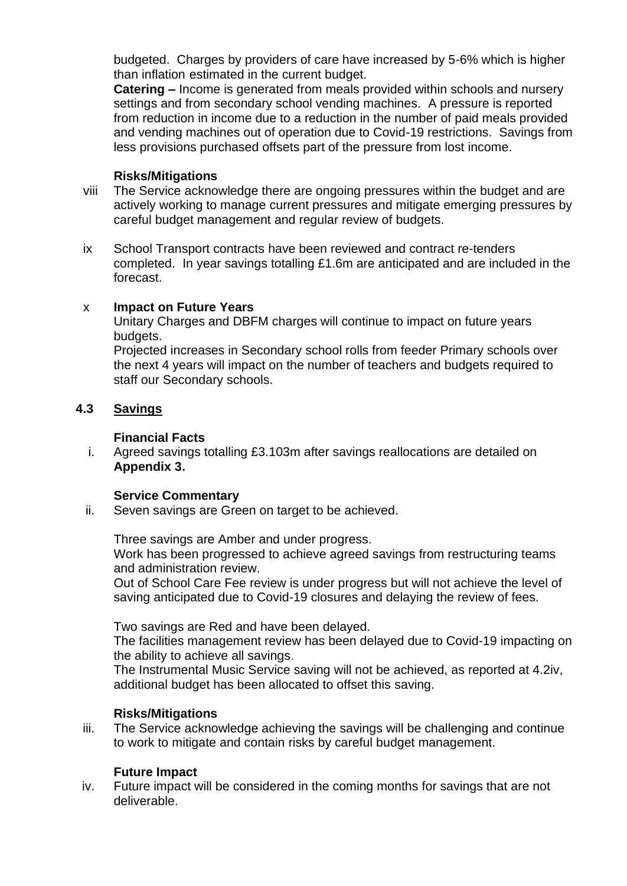budgeted. Charges by providers of care have increased by 5-6% which is higher than inflation estimated in the current budget.

**Catering** – Income is generated from meals provided within schools and nursery settings and from secondary school vending machines. A pressure is reported from reduction in income due to a reduction in the number of paid meals provided and vending machines out of operation due to Covid-19 restrictions. Savings from less provisions purchased offsets part of the pressure from lost income.

#### **Risks/Mitigations**

- viii The Service acknowledge there are ongoing pressures within the budget and are actively working to manage current pressures and mitigate emerging pressures by careful budget management and regular review of budgets.
- ix School Transport contracts have been reviewed and contract re-tenders completed. In year savings totalling £1.6m are anticipated and are included in the forecast.

# x **Impact on Future Years**

Unitary Charges and DBFM charges will continue to impact on future years budgets.

Projected increases in Secondary school rolls from feeder Primary schools over the next 4 years will impact on the number of teachers and budgets required to staff our Secondary schools.

# **4.3 Savings**

#### **Financial Facts**

i. Agreed savings totalling £3.103m after savings reallocations are detailed on **Appendix 3.**

#### **Service Commentary**

ii. Seven savings are Green on target to be achieved.

Three savings are Amber and under progress.

Work has been progressed to achieve agreed savings from restructuring teams and administration review.

Out of School Care Fee review is under progress but will not achieve the level of saving anticipated due to Covid-19 closures and delaying the review of fees.

Two savings are Red and have been delayed.

The facilities management review has been delayed due to Covid-19 impacting on the ability to achieve all savings.

The Instrumental Music Service saving will not be achieved, as reported at 4.2iv, additional budget has been allocated to offset this saving.

# **Risks/Mitigations**

iii. The Service acknowledge achieving the savings will be challenging and continue to work to mitigate and contain risks by careful budget management.

#### **Future Impact**

iv. Future impact will be considered in the coming months for savings that are not deliverable.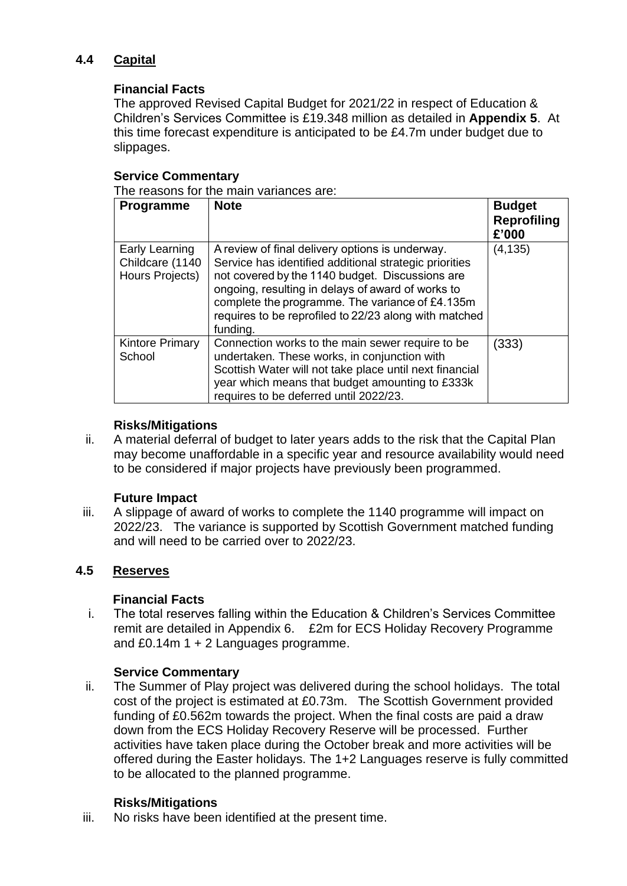# **4.4 Capital**

# **Financial Facts**

The approved Revised Capital Budget for 2021/22 in respect of Education & Children's Services Committee is £19.348 million as detailed in **Appendix 5**. At this time forecast expenditure is anticipated to be £4.7m under budget due to slippages.

# **Service Commentary**

The reasons for the main variances are:

| Programme                                            | <b>Note</b>                                                                                                                                                                                                                                                                                                                               | <b>Budget</b><br><b>Reprofiling</b><br>£'000 |
|------------------------------------------------------|-------------------------------------------------------------------------------------------------------------------------------------------------------------------------------------------------------------------------------------------------------------------------------------------------------------------------------------------|----------------------------------------------|
| Early Learning<br>Childcare (1140<br>Hours Projects) | A review of final delivery options is underway.<br>Service has identified additional strategic priorities<br>not covered by the 1140 budget. Discussions are<br>ongoing, resulting in delays of award of works to<br>complete the programme. The variance of £4.135m<br>requires to be reprofiled to 22/23 along with matched<br>funding. | (4, 135)                                     |
| <b>Kintore Primary</b><br>School                     | Connection works to the main sewer require to be.<br>undertaken. These works, in conjunction with<br>Scottish Water will not take place until next financial<br>year which means that budget amounting to £333k<br>requires to be deferred until 2022/23.                                                                                 | (333)                                        |

# **Risks/Mitigations**

ii. A material deferral of budget to later years adds to the risk that the Capital Plan may become unaffordable in a specific year and resource availability would need to be considered if major projects have previously been programmed.

# **Future Impact**

iii. A slippage of award of works to complete the 1140 programme will impact on 2022/23. The variance is supported by Scottish Government matched funding and will need to be carried over to 2022/23.

# **4.5 Reserves**

#### **Financial Facts**

i. The total reserves falling within the Education & Children's Services Committee remit are detailed in Appendix 6. £2m for ECS Holiday Recovery Programme and £0.14m 1 + 2 Languages programme.

# **Service Commentary**

ii. The Summer of Play project was delivered during the school holidays. The total cost of the project is estimated at £0.73m. The Scottish Government provided funding of £0.562m towards the project. When the final costs are paid a draw down from the ECS Holiday Recovery Reserve will be processed. Further activities have taken place during the October break and more activities will be offered during the Easter holidays. The 1+2 Languages reserve is fully committed to be allocated to the planned programme.

# **Risks/Mitigations**

iii. No risks have been identified at the present time.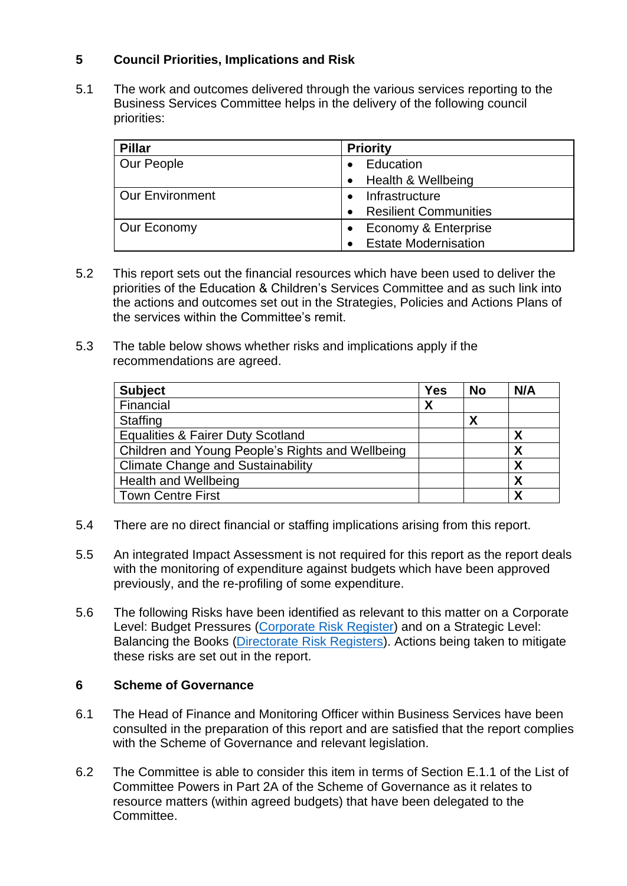# **5 Council Priorities, Implications and Risk**

5.1 The work and outcomes delivered through the various services reporting to the Business Services Committee helps in the delivery of the following council priorities:

| <b>Pillar</b>          | <b>Priority</b>                           |
|------------------------|-------------------------------------------|
| Our People             | Education                                 |
|                        | Health & Wellbeing                        |
| <b>Our Environment</b> | Infrastructure                            |
|                        | <b>Resilient Communities</b><br>$\bullet$ |
| Our Economy            | Economy & Enterprise                      |
|                        | <b>Estate Modernisation</b>               |

- 5.2 This report sets out the financial resources which have been used to deliver the priorities of the Education & Children's Services Committee and as such link into the actions and outcomes set out in the Strategies, Policies and Actions Plans of the services within the Committee's remit.
- 5.3 The table below shows whether risks and implications apply if the recommendations are agreed.

| <b>Subject</b>                                   | <b>Yes</b> | <b>No</b> | N/A |
|--------------------------------------------------|------------|-----------|-----|
| Financial                                        | X          |           |     |
| Staffing                                         |            | Χ         |     |
| <b>Equalities &amp; Fairer Duty Scotland</b>     |            |           | Χ   |
| Children and Young People's Rights and Wellbeing |            |           | χ   |
| <b>Climate Change and Sustainability</b>         |            |           | X   |
| <b>Health and Wellbeing</b>                      |            |           | χ   |
| <b>Town Centre First</b>                         |            |           | Χ   |

- 5.4 There are no direct financial or staffing implications arising from this report.
- 5.5 An integrated Impact Assessment is not required for this report as the report deals with the monitoring of expenditure against budgets which have been approved previously, and the re-profiling of some expenditure.
- 5.6 The following Risks have been identified as relevant to this matter on a Corporate Level: Budget Pressures [\(Corporate Risk Register\)](https://www.aberdeenshire.gov.uk/council-and-democracy/about-us/plans-and-reports/) and on a Strategic Level: Balancing the Books [\(Directorate Risk Registers\)](https://www.aberdeenshire.gov.uk/council-and-democracy/about-us/plans-and-reports/). Actions being taken to mitigate these risks are set out in the report.

#### **6 Scheme of Governance**

- 6.1 The Head of Finance and Monitoring Officer within Business Services have been consulted in the preparation of this report and are satisfied that the report complies with the [Scheme of Governance](https://aberdeenshire.sharepoint.com/sites/Arcadia/services/Pages/Business%20Services/Legal%20and%20Governance/Governance/Scheme-of-Governance-.aspx) and relevant legislation.
- 6.2 The Committee is able to consider this item in terms of Section E.1.1 of the List of Committee Powers in Part 2A of the Scheme of Governance as it relates to resource matters (within agreed budgets) that have been delegated to the Committee.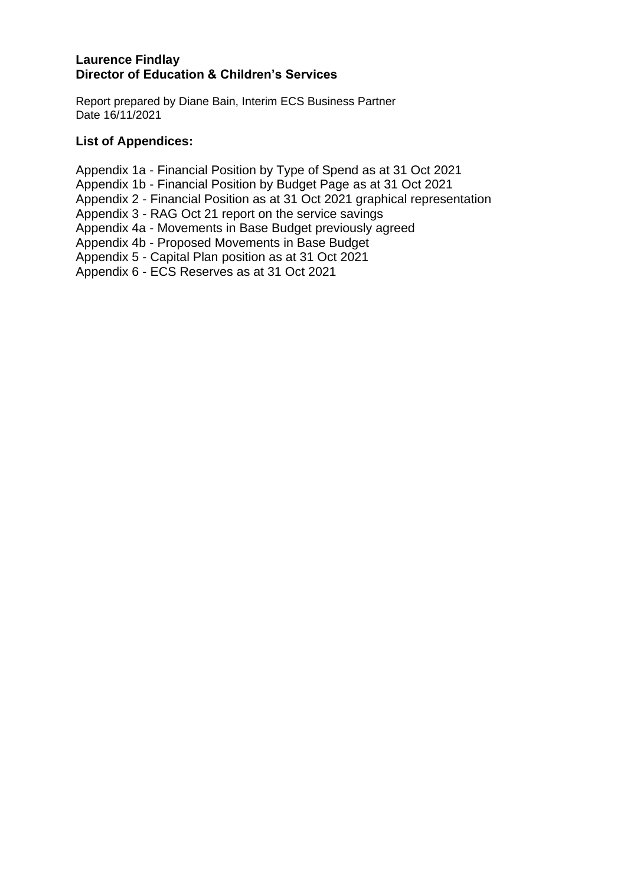# **Laurence Findlay Director of Education & Children's Services**

Report prepared by Diane Bain, Interim ECS Business Partner Date 16/11/2021

# **List of Appendices:**

Appendix 1a - Financial Position by Type of Spend as at 31 Oct 2021

Appendix 1b - Financial Position by Budget Page as at 31 Oct 2021

Appendix 2 - Financial Position as at 31 Oct 2021 graphical representation

Appendix 3 - RAG Oct 21 report on the service savings

Appendix 4a - Movements in Base Budget previously agreed

Appendix 4b - Proposed Movements in Base Budget

Appendix 5 - Capital Plan position as at 31 Oct 2021

Appendix 6 - ECS Reserves as at 31 Oct 2021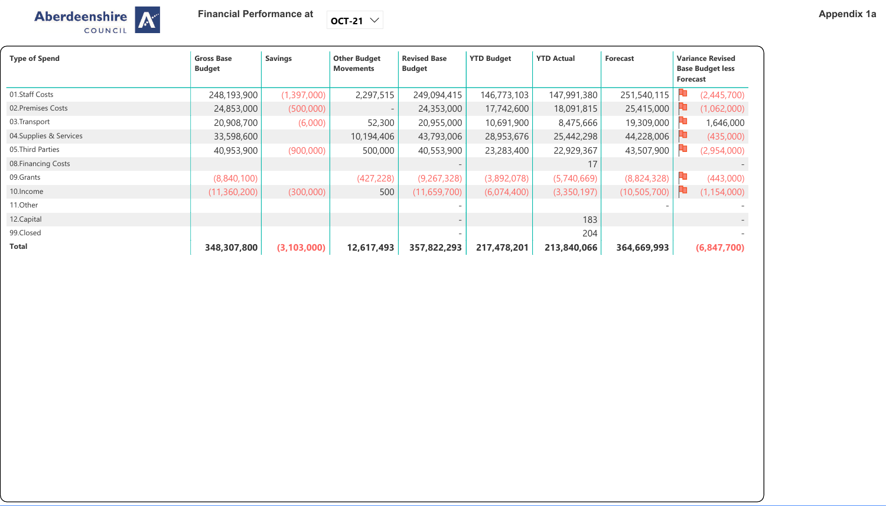**Financial Performance at** 

 $\vert$  OCT-21  $\vert\vee\vert$ 

| <b>Aberdeenshire</b> |  |
|----------------------|--|
| COUNCIL              |  |

| <b>Type of Spend</b>    | <b>Gross Base</b><br><b>Budget</b> | <b>Savings</b> | <b>Other Budget</b><br><b>Movements</b> | <b>Revised Base</b><br><b>Budget</b> | <b>YTD Budget</b> | <b>YTD Actual</b> | <b>Forecast</b> | <b>Variance Revised</b><br><b>Base Budget less</b><br><b>Forecast</b> |  |
|-------------------------|------------------------------------|----------------|-----------------------------------------|--------------------------------------|-------------------|-------------------|-----------------|-----------------------------------------------------------------------|--|
| 01.Staff Costs          | 248,193,900                        | (1,397,000)    | 2,297,515                               | 249,094,415                          | 146,773,103       | 147,991,380       | 251,540,115     | 40<br>(2,445,700)                                                     |  |
| 02. Premises Costs      | 24,853,000                         | (500,000)      |                                         | 24,353,000                           | 17,742,600        | 18,091,815        | 25,415,000      | (1,062,000)                                                           |  |
| 03. Transport           | 20,908,700                         | (6,000)        | 52,300                                  | 20,955,000                           | 10,691,900        | 8,475,666         | 19,309,000      | 1,646,000                                                             |  |
| 04. Supplies & Services | 33,598,600                         |                | 10,194,406                              | 43,793,006                           | 28,953,676        | 25,442,298        | 44,228,006      | (435,000)                                                             |  |
| 05. Third Parties       | 40,953,900                         | (900,000)      | 500,000                                 | 40,553,900                           | 23,283,400        | 22,929,367        | 43,507,900      | (2,954,000)                                                           |  |
| 08. Financing Costs     |                                    |                |                                         |                                      |                   | 17                |                 |                                                                       |  |
| 09.Grants               | (8,840,100)                        |                | (427, 228)                              | (9, 267, 328)                        | (3,892,078)       | (5,740,669)       | (8,824,328)     | HU<br>(443,000)                                                       |  |
| 10. Income              | (11,360,200)                       | (300,000)      | 500                                     | (11, 659, 700)                       | (6,074,400)       | (3,350,197)       | (10, 505, 700)  | (1, 154, 000)<br>FU                                                   |  |
| 11.Other                |                                    |                |                                         |                                      |                   |                   |                 |                                                                       |  |
| 12. Capital             |                                    |                |                                         |                                      |                   | 183               |                 |                                                                       |  |
| 99.Closed               |                                    |                |                                         |                                      |                   | 204               |                 |                                                                       |  |
| <b>Total</b>            | 348,307,800                        | (3, 103, 000)  | 12,617,493                              | 357,822,293                          | 217,478,201       | 213,840,066       | 364,669,993     | (6,847,700)                                                           |  |

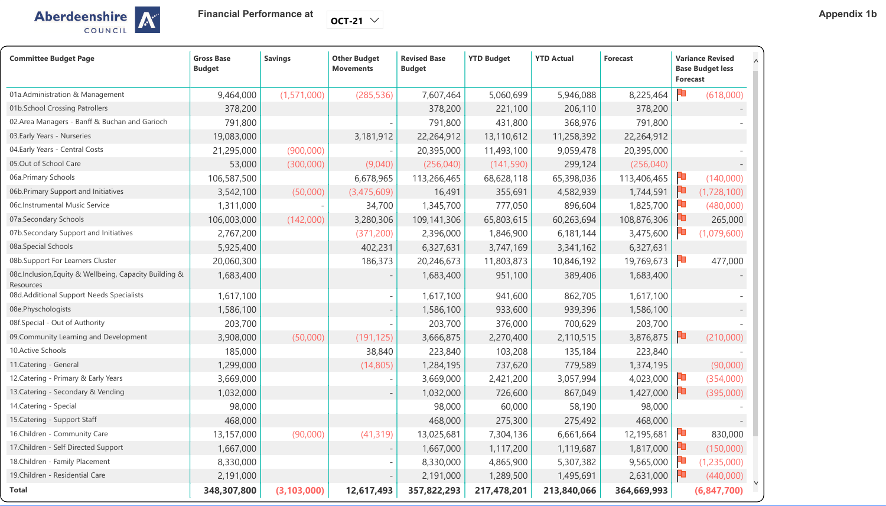Aberdeenshire



**Financial Performance at** 

 $\boxed{\mathsf{OCT}\text{-}21}\,$   $\smile$ 

| <b>Committee Budget Page</b>                                        | <b>Gross Base</b><br><b>Budget</b> | <b>Savings</b> | <b>Other Budget</b><br><b>Movements</b> | <b>Revised Base</b><br><b>Budget</b> | <b>YTD Budget</b> | <b>YTD Actual</b> | <b>Forecast</b> | <b>Variance Revised</b><br><b>Base Budget less</b><br><b>Forecast</b> |               |
|---------------------------------------------------------------------|------------------------------------|----------------|-----------------------------------------|--------------------------------------|-------------------|-------------------|-----------------|-----------------------------------------------------------------------|---------------|
| 01a. Administration & Management                                    | 9,464,000                          | (1, 571, 000)  | (285, 536)                              | 7,607,464                            | 5,060,699         | 5,946,088         | 8,225,464       |                                                                       | (618,000)     |
| 01b. School Crossing Patrollers                                     | 378,200                            |                |                                         | 378,200                              | 221,100           | 206,110           | 378,200         |                                                                       |               |
| 02. Area Managers - Banff & Buchan and Garioch                      | 791,800                            |                |                                         | 791,800                              | 431,800           | 368,976           | 791,800         |                                                                       |               |
| 03. Early Years - Nurseries                                         | 19,083,000                         |                | 3,181,912                               | 22,264,912                           | 13,110,612        | 11,258,392        | 22,264,912      |                                                                       |               |
| 04. Early Years - Central Costs                                     | 21,295,000                         | (900,000)      |                                         | 20,395,000                           | 11,493,100        | 9,059,478         | 20,395,000      |                                                                       |               |
| 05.Out of School Care                                               | 53,000                             | (300,000)      | (9,040)                                 | (256, 040)                           | (141, 590)        | 299,124           | (256, 040)      |                                                                       |               |
| 06a.Primary Schools                                                 | 106,587,500                        |                | 6,678,965                               | 113,266,465                          | 68,628,118        | 65,398,036        | 113,406,465     |                                                                       | (140,000)     |
| 06b. Primary Support and Initiatives                                | 3,542,100                          | (50,000)       | (3,475,609)                             | 16,491                               | 355,691           | 4,582,939         | 1,744,591       |                                                                       | (1,728,100)   |
| 06c.Instrumental Music Service                                      | 1,311,000                          |                | 34,700                                  | 1,345,700                            | 777,050           | 896,604           | 1,825,700       |                                                                       | (480,000)     |
| 07a.Secondary Schools                                               | 106,003,000                        | (142,000)      | 3,280,306                               | 109,141,306                          | 65,803,615        | 60,263,694        | 108,876,306     |                                                                       | 265,000       |
| 07b.Secondary Support and Initiatives                               | 2,767,200                          |                | (371, 200)                              | 2,396,000                            | 1,846,900         | 6,181,144         | 3,475,600       |                                                                       | (1,079,600)   |
| 08a.Special Schools                                                 | 5,925,400                          |                | 402,231                                 | 6,327,631                            | 3,747,169         | 3,341,162         | 6,327,631       |                                                                       |               |
| 08b.Support For Learners Cluster                                    | 20,060,300                         |                | 186,373                                 | 20,246,673                           | 11,803,873        | 10,846,192        | 19,769,673      |                                                                       | 477,000       |
| 08c.Inclusion, Equity & Wellbeing, Capacity Building &<br>Resources | 1,683,400                          |                |                                         | 1,683,400                            | 951,100           | 389,406           | 1,683,400       |                                                                       |               |
| 08d. Additional Support Needs Specialists                           | 1,617,100                          |                |                                         | 1,617,100                            | 941,600           | 862,705           | 1,617,100       |                                                                       |               |
| 08e.Physchologists                                                  | 1,586,100                          |                |                                         | 1,586,100                            | 933,600           | 939,396           | 1,586,100       |                                                                       |               |
| 08f.Special - Out of Authority                                      | 203,700                            |                |                                         | 203,700                              | 376,000           | 700,629           | 203,700         |                                                                       |               |
| 09. Community Learning and Development                              | 3,908,000                          | (50,000)       | (191, 125)                              | 3,666,875                            | 2,270,400         | 2,110,515         | 3,876,875       |                                                                       | (210,000)     |
| <b>10.Active Schools</b>                                            | 185,000                            |                | 38,840                                  | 223,840                              | 103,208           | 135,184           | 223,840         |                                                                       |               |
| 11. Catering - General                                              | 1,299,000                          |                | (14,805)                                | 1,284,195                            | 737,620           | 779,589           | 1,374,195       |                                                                       | (90,000)      |
| 12. Catering - Primary & Early Years                                | 3,669,000                          |                |                                         | 3,669,000                            | 2,421,200         | 3,057,994         | 4,023,000       |                                                                       | (354,000)     |
| 13. Catering - Secondary & Vending                                  | 1,032,000                          |                |                                         | 1,032,000                            | 726,600           | 867,049           | 1,427,000       |                                                                       | (395,000)     |
| 14. Catering - Special                                              | 98,000                             |                |                                         | 98,000                               | 60,000            | 58,190            | 98,000          |                                                                       |               |
| 15. Catering - Support Staff                                        | 468,000                            |                |                                         | 468,000                              | 275,300           | 275,492           | 468,000         |                                                                       |               |
| 16.Children - Community Care                                        | 13,157,000                         | (90,000)       | (41, 319)                               | 13,025,681                           | 7,304,136         | 6,661,664         | 12,195,681      |                                                                       | 830,000       |
| 17. Children - Self Directed Support                                | 1,667,000                          |                |                                         | 1,667,000                            | 1,117,200         | 1,119,687         | 1,817,000       |                                                                       | (150,000)     |
| 18. Children - Family Placement                                     | 8,330,000                          |                | $\sim$                                  | 8,330,000                            | 4,865,900         | 5,307,382         | 9,565,000       |                                                                       | (1, 235, 000) |
| 19. Children - Residential Care                                     | 2,191,000                          |                |                                         | 2,191,000                            | 1,289,500         | 1,495,691         | 2,631,000       |                                                                       | (440,000)     |
| <b>Total</b>                                                        | 348,307,800                        | (3, 103, 000)  | 12,617,493                              | 357,822,293                          | 217,478,201       | 213,840,066       | 364,669,993     |                                                                       | (6, 847, 700) |

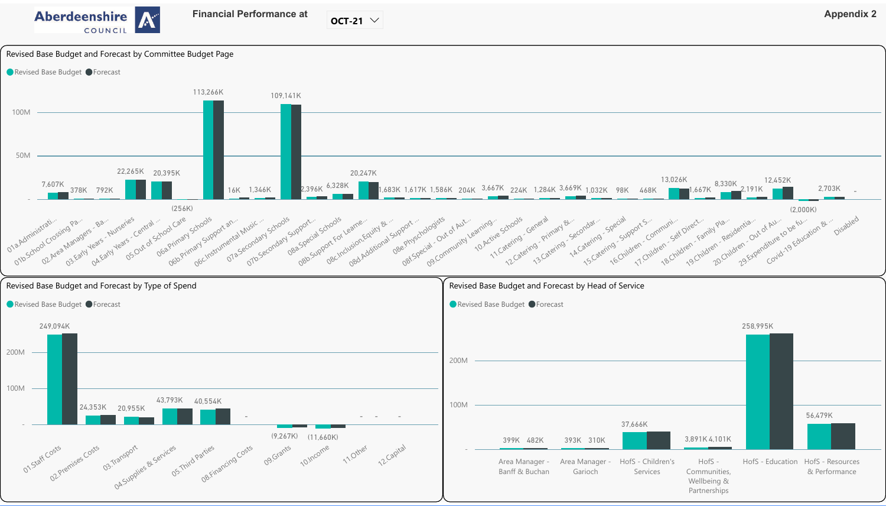

OCT-21  $\vee$ 

# Revised Base Budget and Forecast by Committee Budget Page







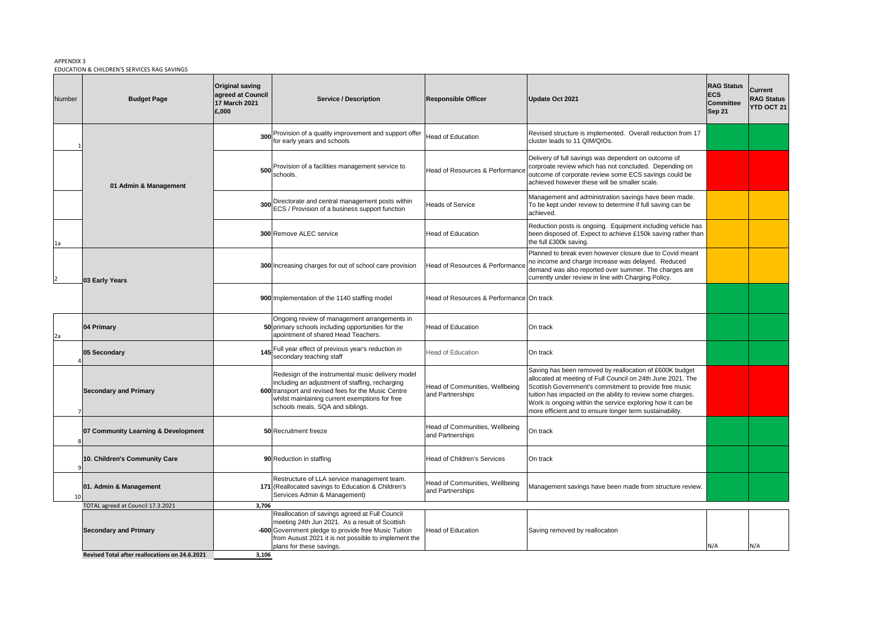# APPENDIX 3 EDUCATION & CHILDREN'S SERVICES RAG SAVINGS

| Number | <b>Budget Page</b>                             | <b>Original saving</b><br>agreed at Council<br>17 March 2021<br>£,000 | <b>Service / Description</b>                                                                                                                                                                                                                      | <b>Responsible Officer</b>                         | <b>Update Oct 2021</b>                                                                                                                                                                                                                                                                                                                                                    | <b>RAG Status</b><br><b>ECS</b><br><b>Committee</b><br><b>Sep 21</b> | <b>Current</b><br><b>RAG Status</b><br><b>YTD OCT 21</b> |
|--------|------------------------------------------------|-----------------------------------------------------------------------|---------------------------------------------------------------------------------------------------------------------------------------------------------------------------------------------------------------------------------------------------|----------------------------------------------------|---------------------------------------------------------------------------------------------------------------------------------------------------------------------------------------------------------------------------------------------------------------------------------------------------------------------------------------------------------------------------|----------------------------------------------------------------------|----------------------------------------------------------|
|        |                                                | 300                                                                   | Provision of a quality improvement and support offer<br>for early years and schools                                                                                                                                                               | <b>Head of Education</b>                           | Revised structure is implemented. Overall reduction from 17<br>cluster leads to 11 QIM/QIOs.                                                                                                                                                                                                                                                                              |                                                                      |                                                          |
|        | 01 Admin & Management                          | 500                                                                   | Provision of a facilities management service to<br>schools.                                                                                                                                                                                       | Head of Resources & Performance                    | Delivery of full savings was dependent on outcome of<br>corproate review which has not concluded. Depending on<br>outcome of corporate review some ECS savings could be<br>achieved however these will be smaller scale.                                                                                                                                                  |                                                                      |                                                          |
|        |                                                |                                                                       | Directorate and central management posts within<br>ECS / Provision of a business support function                                                                                                                                                 | <b>Heads of Service</b>                            | Management and administration savings have been made.<br>To be kept under review to determine if full saving can be<br>achieved.                                                                                                                                                                                                                                          |                                                                      |                                                          |
| 1a     |                                                |                                                                       | <b>300 Remove ALEC service</b>                                                                                                                                                                                                                    | <b>Head of Education</b>                           | Reduction posts is ongoing. Equipment including vehicle has<br>been disposed of. Expect to achieve £150k saving rather than<br>the full £300k saving.                                                                                                                                                                                                                     |                                                                      |                                                          |
|        | 03 Early Years                                 |                                                                       | 300 Increasing charges for out of school care provision                                                                                                                                                                                           | <b>Head of Resources &amp; Performance</b>         | Planned to break even however closure due to Covid meant<br>no income and charge increase was delayed. Reduced<br>demand was also reported over summer. The charges are<br>currently under review in line with Charging Policy.                                                                                                                                           |                                                                      |                                                          |
|        |                                                |                                                                       | 900 Implementation of the 1140 staffing model                                                                                                                                                                                                     | Head of Resources & Performance On track           |                                                                                                                                                                                                                                                                                                                                                                           |                                                                      |                                                          |
|        | 04 Primary                                     |                                                                       | Ongoing review of management arrangements in<br>50 primary schools including opportunities for the<br>apointment of shared Head Teachers.                                                                                                         | <b>Head of Education</b>                           | On track                                                                                                                                                                                                                                                                                                                                                                  |                                                                      |                                                          |
|        | 05 Secondary                                   |                                                                       | 145 Full year effect of previous year's reduction in<br>secondary teaching staff                                                                                                                                                                  | <b>Head of Education</b>                           | On track                                                                                                                                                                                                                                                                                                                                                                  |                                                                      |                                                          |
|        | <b>Secondary and Primary</b>                   |                                                                       | Redesign of the instrumental music delivery model<br>including an adjustment of staffing, recharging<br>600 transport and revised fees for the Music Centre<br>whilst maintaining current exemptions for free<br>schools meals, SQA and siblings. | Head of Communities, Wellbeing<br>and Partnerships | Saving has been removed by reallocation of £600K budget<br>allocated at meeting of Full Council on 24th June 2021. The<br>Scottish Government's commitment to provide free music<br>tuition has impacted on the ability to review some charges.<br>Work is ongoing within the service exploring how it can be<br>more efficient and to ensure longer term sustainability. |                                                                      |                                                          |
|        | 07 Community Learning & Development            |                                                                       | 50 Recruitment freeze                                                                                                                                                                                                                             | Head of Communities, Wellbeing<br>and Partnerships | On track                                                                                                                                                                                                                                                                                                                                                                  |                                                                      |                                                          |
|        | 10. Children's Community Care                  |                                                                       | 90 Reduction in staffing                                                                                                                                                                                                                          | <b>Head of Children's Services</b>                 | On track                                                                                                                                                                                                                                                                                                                                                                  |                                                                      |                                                          |
| 10     | 01. Admin & Management                         |                                                                       | Restructure of LLA service management team.<br>171 (Reallocated savings to Education & Children's<br>Services Admin & Management)                                                                                                                 | Head of Communities, Wellbeing<br>and Partnerships | Management savings have been made from structure review.                                                                                                                                                                                                                                                                                                                  |                                                                      |                                                          |
|        | TOTAL agreed at Council 17.3.2021              | 3,706                                                                 |                                                                                                                                                                                                                                                   |                                                    |                                                                                                                                                                                                                                                                                                                                                                           |                                                                      |                                                          |
|        | <b>Secondary and Primary</b>                   |                                                                       | Reallocation of savings agreed at Full Council<br>meeting 24th Jun 2021. As a result of Scottish<br>-600 Government pledge to provide free Music Tuition<br>from Ausust 2021 it is not possible to implement the<br>plans for these savings.      | <b>Head of Education</b>                           | Saving removed by reallocation                                                                                                                                                                                                                                                                                                                                            | IN/A                                                                 | N/A                                                      |
|        | Revised Total after reallocations on 24.6.2021 | 3,106                                                                 |                                                                                                                                                                                                                                                   |                                                    |                                                                                                                                                                                                                                                                                                                                                                           |                                                                      |                                                          |